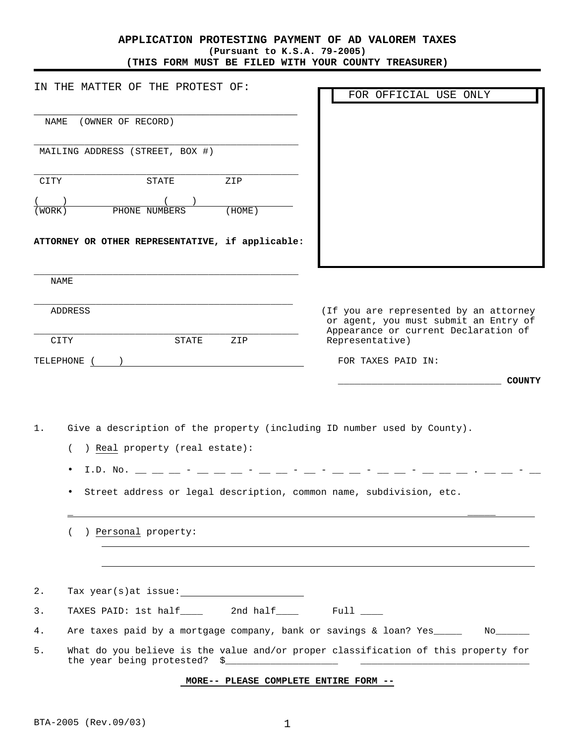## **APPLICATION PROTESTING PAYMENT OF AD VALOREM TAXES (Pursuant to K.S.A. 79-2005) (THIS FORM MUST BE FILED WITH YOUR COUNTY TREASURER)**

| IN THE MATTER OF THE PROTEST OF:<br>(OWNER OF RECORD)<br>NAME<br>MAILING ADDRESS (STREET, BOX #)                                                                                                                                                                                                                    | ZIP    | FOR OFFICIAL USE ONLY                                                                                                   |
|---------------------------------------------------------------------------------------------------------------------------------------------------------------------------------------------------------------------------------------------------------------------------------------------------------------------|--------|-------------------------------------------------------------------------------------------------------------------------|
|                                                                                                                                                                                                                                                                                                                     |        |                                                                                                                         |
|                                                                                                                                                                                                                                                                                                                     |        |                                                                                                                         |
|                                                                                                                                                                                                                                                                                                                     |        |                                                                                                                         |
| STATE<br>CITY                                                                                                                                                                                                                                                                                                       |        |                                                                                                                         |
|                                                                                                                                                                                                                                                                                                                     |        |                                                                                                                         |
| (WORK) PHONE NUMBERS                                                                                                                                                                                                                                                                                                | (HOME) |                                                                                                                         |
| ATTORNEY OR OTHER REPRESENTATIVE, if applicable:                                                                                                                                                                                                                                                                    |        |                                                                                                                         |
|                                                                                                                                                                                                                                                                                                                     |        |                                                                                                                         |
| NAME                                                                                                                                                                                                                                                                                                                |        |                                                                                                                         |
| ADDRESS                                                                                                                                                                                                                                                                                                             |        | (If you are represented by an attorney<br>or agent, you must submit an Entry of<br>Appearance or current Declaration of |
| CITY<br>STATE                                                                                                                                                                                                                                                                                                       | ZIP    | Representative)                                                                                                         |
| TELEPHONE ( )                                                                                                                                                                                                                                                                                                       |        | FOR TAXES PAID IN:                                                                                                      |
|                                                                                                                                                                                                                                                                                                                     |        | <b>COUNTY</b>                                                                                                           |
|                                                                                                                                                                                                                                                                                                                     |        |                                                                                                                         |
| $1$ .                                                                                                                                                                                                                                                                                                               |        | Give a description of the property (including ID number used by County).                                                |
| ) Real property (real estate):<br>$\left($                                                                                                                                                                                                                                                                          |        |                                                                                                                         |
| I.D. No. _ _ _ _ - _ _ _ _ - _ _ - _ _                                                                                                                                                                                                                                                                              |        |                                                                                                                         |
|                                                                                                                                                                                                                                                                                                                     |        | Street address or legal description, common name, subdivision, etc.                                                     |
|                                                                                                                                                                                                                                                                                                                     |        |                                                                                                                         |
| ) Personal property:                                                                                                                                                                                                                                                                                                |        |                                                                                                                         |
|                                                                                                                                                                                                                                                                                                                     |        |                                                                                                                         |
|                                                                                                                                                                                                                                                                                                                     |        |                                                                                                                         |
| $2$ .<br>Tax $year(s)$ at issue: $\_$                                                                                                                                                                                                                                                                               |        |                                                                                                                         |
| TAXES PAID: 1st half______ 2nd half______ Full ____<br>$3$ .                                                                                                                                                                                                                                                        |        |                                                                                                                         |
| 4.                                                                                                                                                                                                                                                                                                                  |        | Are taxes paid by a mortgage company, bank or savings & loan? Yes<br>$\mathbb{N}$ o $\_\_\_\_\_\_\_\_\_\$               |
| 5.<br>the year being protested? $\frac{1}{2}$ $\frac{1}{2}$ $\frac{1}{2}$ $\frac{1}{2}$ $\frac{1}{2}$ $\frac{1}{2}$ $\frac{1}{2}$ $\frac{1}{2}$ $\frac{1}{2}$ $\frac{1}{2}$ $\frac{1}{2}$ $\frac{1}{2}$ $\frac{1}{2}$ $\frac{1}{2}$ $\frac{1}{2}$ $\frac{1}{2}$ $\frac{1}{2}$ $\frac{1}{2}$ $\frac{1}{2}$ $\frac{1$ |        | What do you believe is the value and/or proper classification of this property for                                      |

## **MORE-- PLEASE COMPLETE ENTIRE FORM --**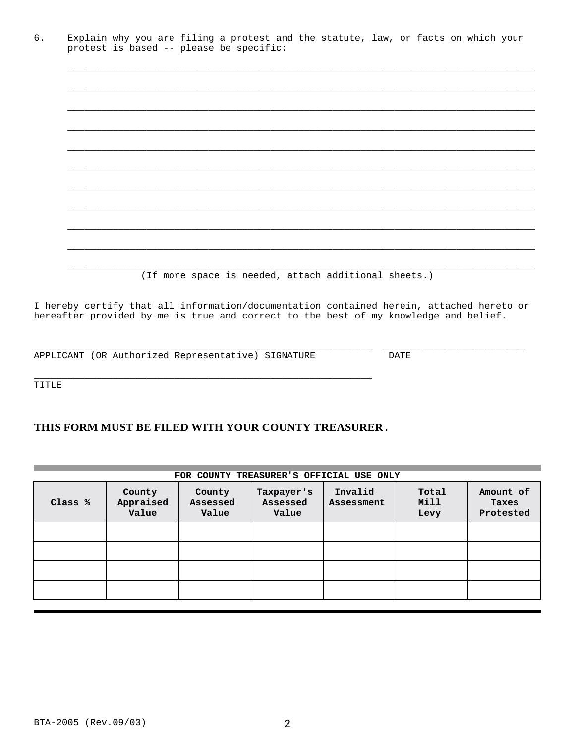|                                         |  |  |  | Explain why you are filing a protest and the statute, law, or facts on which your |  |  |  |
|-----------------------------------------|--|--|--|-----------------------------------------------------------------------------------|--|--|--|
| protest is based -- please be specific: |  |  |  |                                                                                   |  |  |  |

\_\_\_\_\_\_\_\_\_\_\_\_\_\_\_\_\_\_\_\_\_\_\_\_\_\_\_\_\_\_\_\_\_\_\_\_\_\_\_\_\_\_\_\_\_\_\_\_\_\_\_\_\_\_\_\_\_\_\_\_\_\_\_\_\_\_\_\_\_\_\_\_\_\_\_\_\_\_\_\_\_\_\_

\_\_\_\_\_\_\_\_\_\_\_\_\_\_\_\_\_\_\_\_\_\_\_\_\_\_\_\_\_\_\_\_\_\_\_\_\_\_\_\_\_\_\_\_\_\_\_\_\_\_\_\_\_\_\_\_\_\_\_\_\_\_\_\_\_\_\_\_\_\_\_\_\_\_\_\_\_\_\_\_\_\_\_

\_\_\_\_\_\_\_\_\_\_\_\_\_\_\_\_\_\_\_\_\_\_\_\_\_\_\_\_\_\_\_\_\_\_\_\_\_\_\_\_\_\_\_\_\_\_\_\_\_\_\_\_\_\_\_\_\_\_\_\_\_\_\_\_\_\_\_\_\_\_\_\_\_\_\_\_\_\_\_\_\_\_\_

(If more space is needed, attach additional sheets.)

I hereby certify that all information/documentation contained herein, attached hereto or hereafter provided by me is true and correct to the best of my knowledge and belief.

\_\_\_\_\_\_\_\_\_\_\_\_\_\_\_\_\_\_\_\_\_\_\_\_\_\_\_\_\_\_\_\_\_\_\_\_\_\_\_\_\_\_\_\_\_\_\_\_\_\_\_\_\_\_\_\_\_\_\_\_ \_\_\_\_\_\_\_\_\_\_\_\_\_\_\_\_\_\_\_\_\_\_\_\_\_

APPLICANT (OR Authorized Representative) SIGNATURE DATE

TITLE

## **THIS FORM MUST BE FILED WITH YOUR COUNTY TREASURER.**

\_\_\_\_\_\_\_\_\_\_\_\_\_\_\_\_\_\_\_\_\_\_\_\_\_\_\_\_\_\_\_\_\_\_\_\_\_\_\_\_\_\_\_\_\_\_\_\_\_\_\_\_\_\_\_\_\_\_\_\_

| FOR COUNTY TREASURER'S OFFICIAL USE ONLY |                              |                             |                                 |                       |                       |                                 |  |  |  |  |
|------------------------------------------|------------------------------|-----------------------------|---------------------------------|-----------------------|-----------------------|---------------------------------|--|--|--|--|
| Class %                                  | County<br>Appraised<br>Value | County<br>Assessed<br>Value | Taxpayer's<br>Assessed<br>Value | Invalid<br>Assessment | Total<br>Mill<br>Levy | Amount of<br>Taxes<br>Protested |  |  |  |  |
|                                          |                              |                             |                                 |                       |                       |                                 |  |  |  |  |
|                                          |                              |                             |                                 |                       |                       |                                 |  |  |  |  |
|                                          |                              |                             |                                 |                       |                       |                                 |  |  |  |  |
|                                          |                              |                             |                                 |                       |                       |                                 |  |  |  |  |